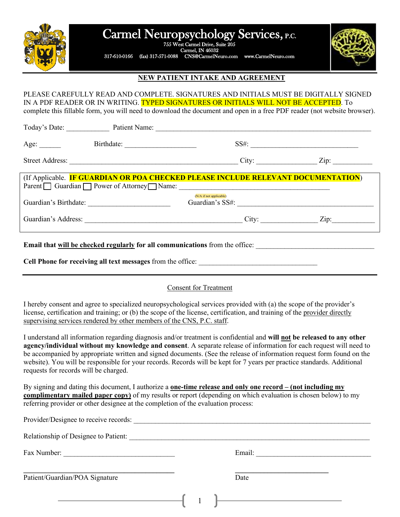

# Carmel Neuropsychology Services, P.C.

755 West Carmel Drive, Suite 205 Carmel, IN 46032

317-610-0166 (fax) 317-571-0088 CNS@CarmelNeuro.com www.CarmelNeuro.com



# **NEW PATIENT INTAKE AND AGREEMENT**

PLEASE CAREFULLY READ AND COMPLETE. SIGNATURES AND INITIALS MUST BE DIGITALLY SIGNED IN A PDF READER OR IN WRITING. TYPED SIGNATURES OR INITIALS WILL NOT BE ACCEPTED. To complete this fillable form, you will need to download the document and open in a free PDF reader (not website browser).

| Today's Date:          | Patient Name:                                                |                                                                                   |                    |
|------------------------|--------------------------------------------------------------|-----------------------------------------------------------------------------------|--------------------|
| Age: $\_\_$            | Birthdate:                                                   | SS#:                                                                              |                    |
| <b>Street Address:</b> |                                                              | City:                                                                             | $\overline{Lip}$ : |
|                        | Parent $\Box$ Guardian $\Box$ Power of Attorney $\Box$ Name: | (If Applicable. IF GUARDIAN OR POA CHECKED PLEASE INCLUDE RELEVANT DOCUMENTATION) |                    |
| Guardian's Birthdate:  |                                                              | (N/A if not applicable)<br>Guardian's SS#:                                        |                    |

Guardian's Address: <u>Zip:</u>  $Z$ ip:  $Z$ ip:  $Z$ 

**Email that will be checked regularly for all communications** from the office:

**Cell Phone for receiving all text messages** from the office: \_\_\_\_\_\_\_\_\_\_\_\_\_\_\_\_\_\_\_\_\_\_\_\_\_\_\_\_\_\_\_\_\_

#### Consent for Treatment

I hereby consent and agree to specialized neuropsychological services provided with (a) the scope of the provider's license, certification and training; or (b) the scope of the license, certification, and training of the provider directly supervising services rendered by other members of the CNS, P.C. staff.

I understand all information regarding diagnosis and/or treatment is confidential and **will not be released to any other agency/individual without my knowledge and consent**. A separate release of information for each request will need to be accompanied by appropriate written and signed documents. (See the release of information request form found on the website). You will be responsible for your records. Records will be kept for 7 years per practice standards. Additional requests for records will be charged.

By signing and dating this document, I authorize a **one-time release and only one record – (not including my complimentary mailed paper copy)** of my results or report (depending on which evaluation is chosen below) to my referring provider or other designee at the completion of the evaluation process:

| Provider/Designee to receive records: |  |                                                  |  |
|---------------------------------------|--|--------------------------------------------------|--|
| Relationship of Designee to Patient:  |  |                                                  |  |
| Fax Number:                           |  | Email:                                           |  |
| Patient/Guardian/POA Signature        |  | Date                                             |  |
|                                       |  | the control of the control of the control of the |  |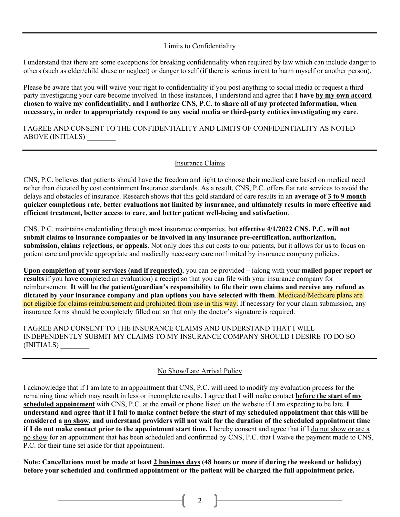#### Limits to Confidentiality

I understand that there are some exceptions for breaking confidentiality when required by law which can include danger to others (such as elder/child abuse or neglect) or danger to self (if there is serious intent to harm myself or another person).

Please be aware that you will waive your right to confidentiality if you post anything to social media or request a third party investigating your care become involved. In those instances, I understand and agree that **I have by my own accord chosen to waive my confidentiality, and I authorize CNS, P.C. to share all of my protected information, when necessary, in order to appropriately respond to any social media or third-party entities investigating my care**.

I AGREE AND CONSENT TO THE CONFIDENTIALITY AND LIMITS OF CONFIDENTIALITY AS NOTED ABOVE (INITIALS) \_\_\_\_\_\_\_\_

#### Insurance Claims

CNS, P.C. believes that patients should have the freedom and right to choose their medical care based on medical need rather than dictated by cost containment Insurance standards. As a result, CNS, P.C. offers flat rate services to avoid the delays and obstacles of insurance. Research shows that this gold standard of care results in an **average of 3 to 9 month quicker completions rate, better evaluations not limited by insurance, and ultimately results in more effective and efficient treatment, better access to care, and better patient well-being and satisfaction**.

CNS, P.C. maintains credentialing through most insurance companies, but **effective 4/1/2022 CNS, P.C. will not submit claims to insurance companies or be involved in any insurance pre-certification, authorization, submission, claims rejections, or appeals**. Not only does this cut costs to our patients, but it allows for us to focus on patient care and provide appropriate and medically necessary care not limited by insurance company policies.

**Upon completion of your services (and if requested)**, you can be provided – (along with your **mailed paper report or results** if you have completed an evaluation) a receipt so that you can file with your insurance company for reimbursement. **It will be the patient/guardian's responsibility to file their own claims and receive any refund as dictated by your insurance company and plan options you have selected with them**. Medicaid/Medicare plans are not eligible for claims reimbursement and prohibited from use in this way. If necessary for your claim submission, any insurance forms should be completely filled out so that only the doctor's signature is required.

I AGREE AND CONSENT TO THE INSURANCE CLAIMS AND UNDERSTAND THAT I WILL INDEPENDENTLY SUBMIT MY CLAIMS TO MY INSURANCE COMPANY SHOULD I DESIRE TO DO SO (INITIALS) \_\_\_\_\_\_\_\_

#### No Show/Late Arrival Policy

I acknowledge that if I am late to an appointment that CNS, P.C. will need to modify my evaluation process for the remaining time which may result in less or incomplete results. I agree that I will make contact **before the start of my scheduled appointment** with CNS, P.C. at the email or phone listed on the website if I am expecting to be late. **I understand and agree that if I fail to make contact before the start of my scheduled appointment that this will be considered a no show, and understand providers will not wait for the duration of the scheduled appointment time if I do not make contact prior to the appointment start time.** I hereby consent and agree that if I do not show or are a no show for an appointment that has been scheduled and confirmed by CNS, P.C. that I waive the payment made to CNS, P.C. for their time set aside for that appointment.

**Note: Cancellations must be made at least 2 business days (48 hours or more if during the weekend or holiday) before your scheduled and confirmed appointment or the patient will be charged the full appointment price.**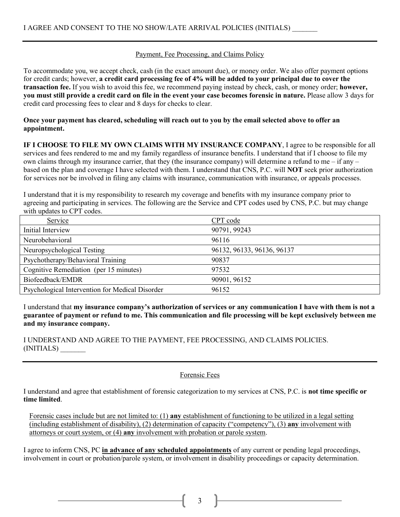## Payment, Fee Processing, and Claims Policy

To accommodate you, we accept check, cash (in the exact amount due), or money order. We also offer payment options for credit cards; however, **a credit card processing fee of 4% will be added to your principal due to cover the transaction fee.** If you wish to avoid this fee, we recommend paying instead by check, cash, or money order; **however, you must still provide a credit card on file in the event your case becomes forensic in nature.** Please allow 3 days for credit card processing fees to clear and 8 days for checks to clear.

### **Once your payment has cleared, scheduling will reach out to you by the email selected above to offer an appointment.**

**IF I CHOOSE TO FILE MY OWN CLAIMS WITH MY INSURANCE COMPANY**, I agree to be responsible for all services and fees rendered to me and my family regardless of insurance benefits. I understand that if I choose to file my own claims through my insurance carrier, that they (the insurance company) will determine a refund to me – if any – based on the plan and coverage I have selected with them. I understand that CNS, P.C. will **NOT** seek prior authorization for services nor be involved in filing any claims with insurance, communication with insurance, or appeals processes.

I understand that it is my responsibility to research my coverage and benefits with my insurance company prior to agreeing and participating in services. The following are the Service and CPT codes used by CNS, P.C. but may change with updates to CPT codes.

| Service                                         | CPT code                   |
|-------------------------------------------------|----------------------------|
| Initial Interview                               | 90791, 99243               |
| Neurobehavioral                                 | 96116                      |
| Neuropsychological Testing                      | 96132, 96133, 96136, 96137 |
| Psychotherapy/Behavioral Training               | 90837                      |
| Cognitive Remediation (per 15 minutes)          | 97532                      |
| Biofeedback/EMDR                                | 90901, 96152               |
| Psychological Intervention for Medical Disorder | 96152                      |

I understand that **my insurance company's authorization of services or any communication I have with them is not a guarantee of payment or refund to me. This communication and file processing will be kept exclusively between me and my insurance company.**

## I UNDERSTAND AND AGREE TO THE PAYMENT, FEE PROCESSING, AND CLAIMS POLICIES. (INITIALS) \_\_\_\_\_\_\_

#### Forensic Fees

I understand and agree that establishment of forensic categorization to my services at CNS, P.C. is **not time specific or time limited**.

Forensic cases include but are not limited to: (1) **any** establishment of functioning to be utilized in a legal setting (including establishment of disability), (2) determination of capacity ("competency"), (3) **any** involvement with attorneys or court system, or (4) **any** involvement with probation or parole system.

I agree to inform CNS, PC **in advance of any scheduled appointments** of any current or pending legal proceedings, involvement in court or probation/parole system, or involvement in disability proceedings or capacity determination.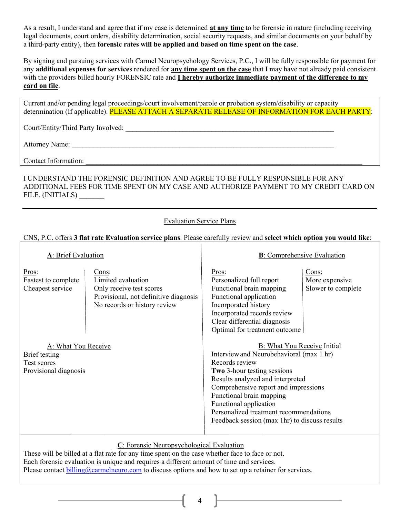As a result, I understand and agree that if my case is determined **at any time** to be forensic in nature (including receiving legal documents, court orders, disability determination, social security requests, and similar documents on your behalf by a third-party entity), then **forensic rates will be applied and based on time spent on the case**.

By signing and pursuing services with Carmel Neuropsychology Services, P.C., I will be fully responsible for payment for any **additional expenses for services** rendered for **any time spent on the case** that I may have not already paid consistent with the providers billed hourly FORENSIC rate and **I hereby authorize immediate payment of the difference to my card on file**.

Current and/or pending legal proceedings/court involvement/parole or probation system/disability or capacity determination (If applicable). PLEASE ATTACH A SEPARATE RELEASE OF INFORMATION FOR EACH PARTY:

Court/Entity/Third Party Involved: \_\_\_\_\_\_\_\_\_\_\_\_\_\_\_\_\_\_\_\_\_\_\_\_\_\_\_\_\_\_\_\_\_\_\_\_\_\_\_\_\_\_\_\_\_\_\_\_\_\_\_\_\_\_\_\_\_\_

Attorney Name:

Contact Information:

## I UNDERSTAND THE FORENSIC DEFINITION AND AGREE TO BE FULLY RESPONSIBLE FOR ANY ADDITIONAL FEES FOR TIME SPENT ON MY CASE AND AUTHORIZE PAYMENT TO MY CREDIT CARD ON FILE. (INITIALS)

## Evaluation Service Plans

## CNS, P.C. offers **3 flat rate Evaluation service plans**. Please carefully review and **select which option you would like**:

| A: Brief Evaluation                                                          |                                                                                                                                  | <b>B</b> : Comprehensive Evaluation                                                                                                                                                                                                                                                                                                                          |                                               |  |
|------------------------------------------------------------------------------|----------------------------------------------------------------------------------------------------------------------------------|--------------------------------------------------------------------------------------------------------------------------------------------------------------------------------------------------------------------------------------------------------------------------------------------------------------------------------------------------------------|-----------------------------------------------|--|
| Pros:<br>Fastest to complete<br>Cheapest service                             | Cons:<br>Limited evaluation<br>Only receive test scores<br>Provisional, not definitive diagnosis<br>No records or history review | Pros:<br>Personalized full report<br>Functional brain mapping<br>Functional application<br>Incorporated history<br>Incorporated records review<br>Clear differential diagnosis<br>Optimal for treatment outcome                                                                                                                                              | Cons:<br>More expensive<br>Slower to complete |  |
| A: What You Receive<br>Brief testing<br>Test scores<br>Provisional diagnosis |                                                                                                                                  | B: What You Receive Initial<br>Interview and Neurobehavioral (max 1 hr)<br>Records review<br><b>Two 3-hour testing sessions</b><br>Results analyzed and interpreted<br>Comprehensive report and impressions<br>Functional brain mapping<br>Functional application<br>Personalized treatment recommendations<br>Feedback session (max 1hr) to discuss results |                                               |  |

## **C**: Forensic Neuropsychological Evaluation

These will be billed at a flat rate for any time spent on the case whether face to face or not. Each forensic evaluation is unique and requires a different amount of time and services. Please contact [billing@carmelneuro.com](mailto:billing@carmelneuro.com) to discuss options and how to set up a retainer for services.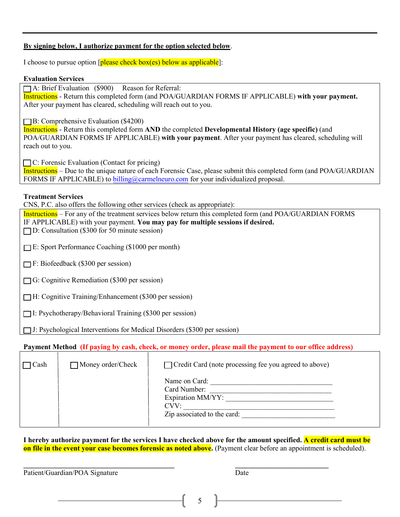### **By signing below, I authorize payment for the option selected below**.

I choose to pursue option  $[**please** check box(es) below as applicable]$ :

#### **Evaluation Services**

 $\Box$  A: Brief Evaluation (\$900) Reason for Referral:

Instructions - Return this completed form (and POA/GUARDIAN FORMS IF APPLICABLE) **with your payment.** After your payment has cleared, scheduling will reach out to you.

**B:** Comprehensive Evaluation (\$4200)

Instructions - Return this completed form **AND** the completed **Developmental History (age specific)** (and POA/GUARDIAN FORMS IF APPLICABLE) **with your payment**. After your payment has cleared, scheduling will reach out to you.

 $\Box$  C: Forensic Evaluation (Contact for pricing)

Instructions – Due to the unique nature of each Forensic Case, please submit this completed form (and POA/GUARDIAN FORMS IF APPLICABLE) t[o billing@carmelneuro.com](mailto:billing@carmelneuro.com) for your individualized proposal.

#### **Treatment Services**

CNS, P.C. also offers the following other services (check as appropriate):

Instructions – For any of the treatment services below return this completed form (and POA/GUARDIAN FORMS IF APPLICABLE) with your payment. **You may pay for multiple sessions if desired.**  $\Box$  D: Consultation (\$300 for 50 minute session)

 $\Box$  E: Sport Performance Coaching (\$1000 per month)

- $\Box$  F: Biofeedback (\$300 per session)
- $\Box$  G: Cognitive Remediation (\$300 per session)

 $\Box$  H: Cognitive Training/Enhancement (\$300 per session)

 $\Box$  I: Psychotherapy/Behavioral Training (\$300 per session)

 $\Box$  J: Psychological Interventions for Medical Disorders (\$300 per session)

**Payment Method (If paying by cash, check, or money order, please mail the payment to our office address)**

| Cash | $\Box$ Money order/Check | $\Box$ Credit Card (note processing fee you agreed to above) |
|------|--------------------------|--------------------------------------------------------------|
|      |                          | Name on Card:<br>Card Number:<br>Expiration MM/YY:<br>CVV:   |
|      |                          | Zip associated to the card:                                  |

**I hereby authorize payment for the services I have checked above for the amount specified. A credit card must be on file in the event your case becomes forensic as noted above.** (Payment clear before an appointment is scheduled).

**\_\_\_\_\_\_\_\_\_\_\_\_\_\_\_\_\_\_\_\_\_\_\_\_\_\_\_\_\_\_\_\_\_\_\_\_\_\_\_\_\_\_ \_\_\_\_\_\_\_\_\_\_\_\_\_\_\_\_\_\_\_\_\_\_\_\_\_\_** 

Patient/Guardian/POA Signature Date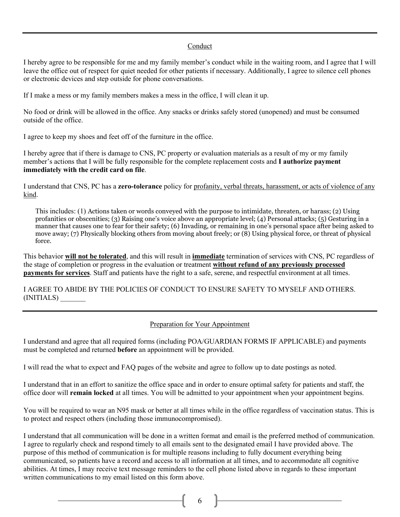#### Conduct

I hereby agree to be responsible for me and my family member's conduct while in the waiting room, and I agree that I will leave the office out of respect for quiet needed for other patients if necessary. Additionally, I agree to silence cell phones or electronic devices and step outside for phone conversations.

If I make a mess or my family members makes a mess in the office, I will clean it up.

No food or drink will be allowed in the office. Any snacks or drinks safely stored (unopened) and must be consumed outside of the office.

I agree to keep my shoes and feet off of the furniture in the office.

I hereby agree that if there is damage to CNS, PC property or evaluation materials as a result of my or my family member's actions that I will be fully responsible for the complete replacement costs and **I authorize payment immediately with the credit card on file**.

I understand that CNS, PC has a **zero-tolerance** policy for profanity, verbal threats, harassment, or acts of violence of any kind.

This includes: (1) Actions taken or words conveyed with the purpose to intimidate, threaten, or harass; (2) Using profanities or obscenities; (3) Raising one's voice above an appropriate level; (4) Personal attacks; (5) Gesturing in a manner that causes one to fear for their safety; (6) Invading, or remaining in one's personal space after being asked to move away; (7) Physically blocking others from moving about freely; or (8) Using physical force, or threat of physical force.

This behavior **will not be tolerated**, and this will result in **immediate** termination of services with CNS, PC regardless of the stage of completion or progress in the evaluation or treatment **without refund of any previously processed payments for services**. Staff and patients have the right to a safe, serene, and respectful environment at all times.

I AGREE TO ABIDE BY THE POLICIES OF CONDUCT TO ENSURE SAFETY TO MYSELF AND OTHERS. (INITIALS) \_\_\_\_\_\_\_

#### Preparation for Your Appointment

I understand and agree that all required forms (including POA/GUARDIAN FORMS IF APPLICABLE) and payments must be completed and returned **before** an appointment will be provided.

I will read the what to expect and FAQ pages of the website and agree to follow up to date postings as noted.

I understand that in an effort to sanitize the office space and in order to ensure optimal safety for patients and staff, the office door will **remain locked** at all times. You will be admitted to your appointment when your appointment begins.

You will be required to wear an N95 mask or better at all times while in the office regardless of vaccination status. This is to protect and respect others (including those immunocompromised).

I understand that all communication will be done in a written format and email is the preferred method of communication. I agree to regularly check and respond timely to all emails sent to the designated email I have provided above. The purpose of this method of communication is for multiple reasons including to fully document everything being communicated, so patients have a record and access to all information at all times, and to accommodate all cognitive abilities. At times, I may receive text message reminders to the cell phone listed above in regards to these important written communications to my email listed on this form above.